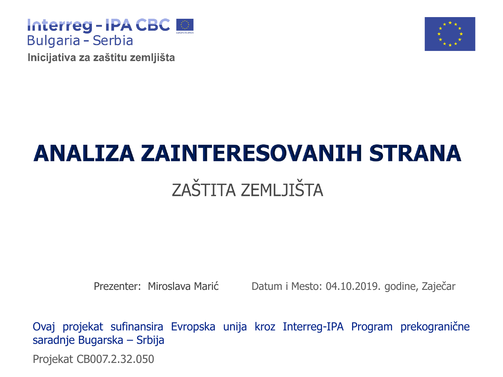

Inicijativa za zaštitu zemljišta



# **ANALIZA ZAINTERESOVANIH STRANA ZAŠTITA ZEMI JIŠTA**

Prezenter: Miroslava Marić Datum i Mesto: 04.10.2019. godine, Zaječar

Projekat CB007.2.32.050 Ovaj projekat sufinansira Evropska unija kroz Interreg-IPA Program prekogranične saradnje Bugarska – Srbija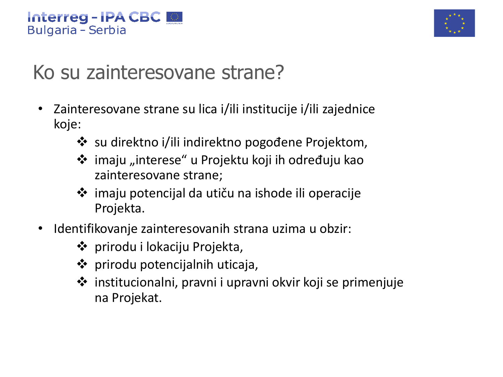

## Ko su zainteresovane strane?

- Zainteresovane strane su lica i/ili institucije i/ili zajednice koje:
	- ❖ su direktno i/ili indirektno pogođene Projektom,
	- ❖ imaju "interese" u Projektu koji ih određuju kao zainteresovane strane;
	- ❖ imaju potencijal da utiču na ishode ili operacije Projekta.
- Identifikovanje zainteresovanih strana uzima u obzir:
	- ❖ prirodu i lokaciju Projekta,
	- ❖ prirodu potencijalnih uticaja,
	- ❖ institucionalni, pravni i upravni okvir koji se primenjuje na Projekat.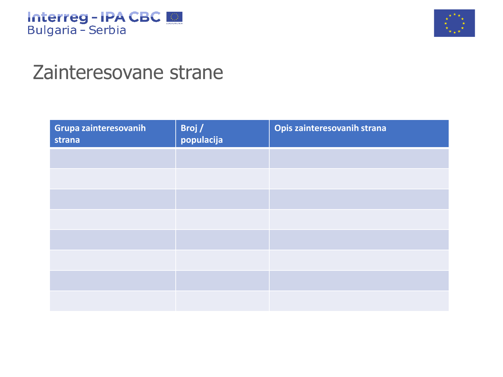



## Zainteresovane strane

| Grupa zainteresovanih<br>strana | Broj /<br>populacija | Opis zainteresovanih strana |
|---------------------------------|----------------------|-----------------------------|
|                                 |                      |                             |
|                                 |                      |                             |
|                                 |                      |                             |
|                                 |                      |                             |
|                                 |                      |                             |
|                                 |                      |                             |
|                                 |                      |                             |
|                                 |                      |                             |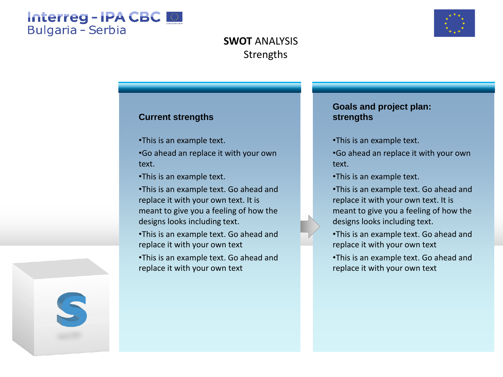



## **Strengths SWOT** ANALYSIS

### **Current strengths**

- •This is an example text.
- •Go ahead an replace it with your own text.
- •This is an example text.
- •This is an example text. Go ahead and replace it with your own text. It is meant to give you a feeling of how the designs looks including text.
- •This is an example text. Go ahead and replace it with your own text
- •This is an example text. Go ahead and replace it with your own text

### **Goals and project plan: strengths**

- •This is an example text.
- •Go ahead an replace it with your own text.
- •This is an example text.
- •This is an example text. Go ahead and replace it with your own text. It is meant to give you a feeling of how the designs looks including text.
- •This is an example text. Go ahead and replace it with your own text
- •This is an example text. Go ahead and replace it with your own text

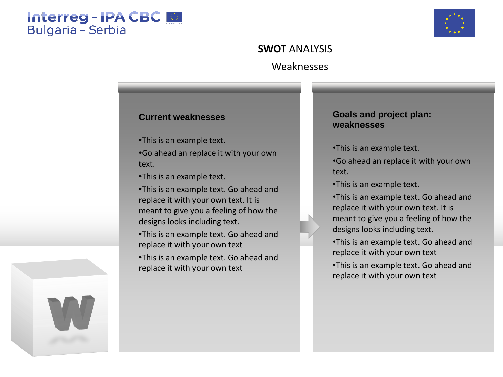## Interreg - IPA CBC **Bulgaria - Serbia**



## Weaknesses **SWOT** ANALYSIS

#### **Current weaknesses**

•This is an example text.

•Go ahead an replace it with your own text.

•This is an example text.

•This is an example text. Go ahead and replace it with your own text. It is meant to give you a feeling of how the designs looks including text.

•This is an example text. Go ahead and replace it with your own text

•This is an example text. Go ahead and replace it with your own text

#### **Goals and project plan: weaknesses**

•This is an example text.

•Go ahead an replace it with your own text.

•This is an example text.

•This is an example text. Go ahead and replace it with your own text. It is meant to give you a feeling of how the designs looks including text.

•This is an example text. Go ahead and replace it with your own text

•This is an example text. Go ahead and replace it with your own text

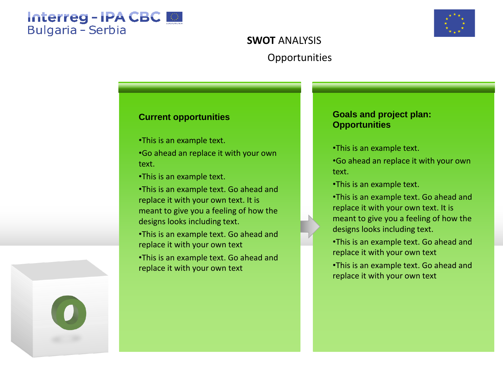



## **Opportunities SWOT** ANALYSIS

### **Current opportunities**

- •This is an example text.
- •Go ahead an replace it with your own text.
- •This is an example text.
- •This is an example text. Go ahead and replace it with your own text. It is meant to give you a feeling of how the designs looks including text.
- •This is an example text. Go ahead and replace it with your own text
- •This is an example text. Go ahead and replace it with your own text

### **Goals and project plan: Opportunities**

- •This is an example text.
- •Go ahead an replace it with your own text.
- •This is an example text.
- •This is an example text. Go ahead and replace it with your own text. It is meant to give you a feeling of how the designs looks including text.
- •This is an example text. Go ahead and replace it with your own text
- •This is an example text. Go ahead and replace it with your own text

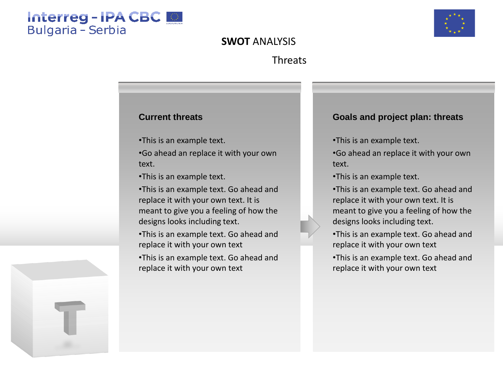## Interreg-IPA CBC **Bulgaria - Serbia**



## **SWOT** ANALYSIS

## Threats

### **Current threats**

•This is an example text.

•Go ahead an replace it with your own text.

•This is an example text.

•This is an example text. Go ahead and replace it with your own text. It is meant to give you a feeling of how the designs looks including text.

•This is an example text. Go ahead and replace it with your own text

•This is an example text. Go ahead and replace it with your own text

#### **Goals and project plan: threats**

•This is an example text.

•Go ahead an replace it with your own text.

•This is an example text.

•This is an example text. Go ahead and replace it with your own text. It is meant to give you a feeling of how the designs looks including text.

•This is an example text. Go ahead and replace it with your own text

•This is an example text. Go ahead and replace it with your own text